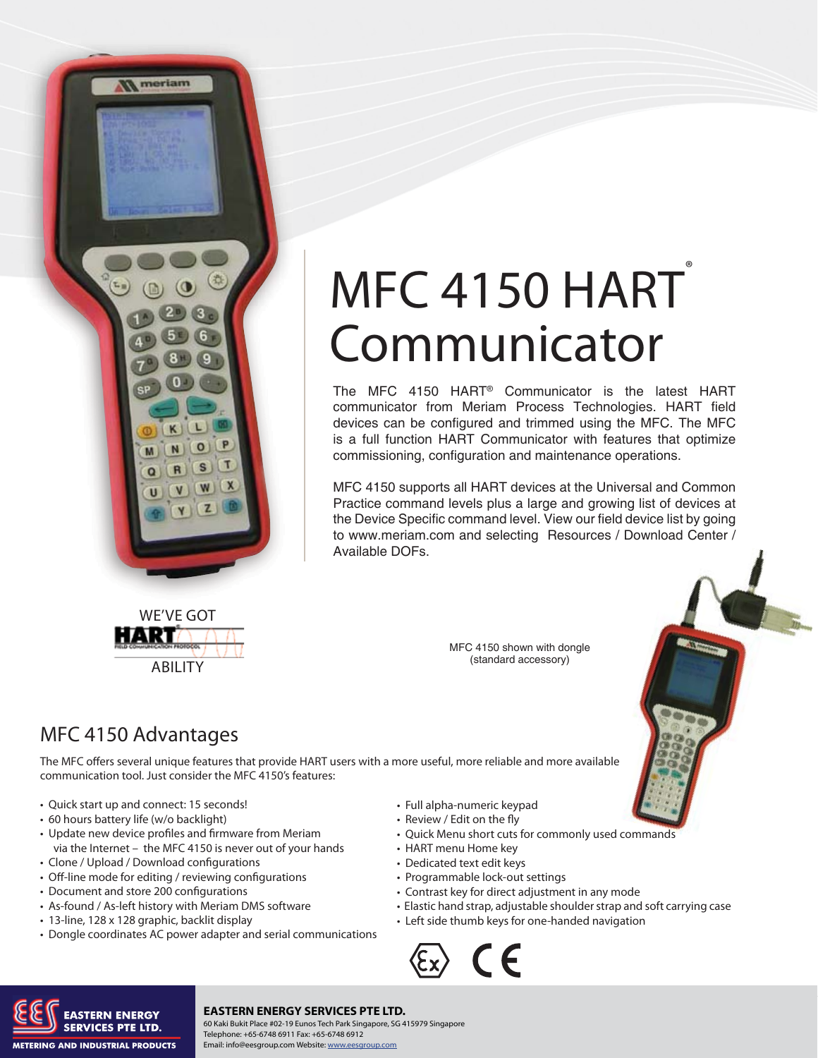

# MFC 4150 HART<sup>®</sup> Communicator

The MFC 4150 HART® Communicator is the latest HART communicator from Meriam Process Technologies. HART field devices can be configured and trimmed using the MFC. The MFC is a full function HART Communicator with features that optimize commissioning, configuration and maintenance operations.

MFC 4150 supports all HART devices at the Universal and Common Practice command levels plus a large and growing list of devices at the Device Specific command level. View our field device list by going to www.meriam.com and selecting Resources / Download Center / Available DOFs.



## MFC 4150 Advantages

HART

The MFC offers several unique features that provide HART users with a more useful, more reliable and more available communication tool. Just consider the MFC 4150's features:

- Quick start up and connect: 15 seconds!
- 60 hours battery life (w/o backlight)
- Update new device profiles and firmware from Meriam via the Internet – the MFC 4150 is never out of your hands
- Clone / Upload / Download configurations
- Off-line mode for editing / reviewing configurations

ABILITY

- Document and store 200 configurations
- As-found / As-left history with Meriam DMS software
- 13-line, 128 x 128 graphic, backlit display
- Dongle coordinates AC power adapter and serial communications
- Full alpha-numeric keypad
	- Review / Edit on the fly
	- Quick Menu short cuts for commonly used commands
	- HART menu Home key
	- Dedicated text edit keys
	- Programmable lock-out settings
- Contrast key for direct adjustment in any mode
- Elastic hand strap, adjustable shoulder strap and soft carrying case
- Left side thumb keys for one-handed navigation





#### **EASTERN ENERGY SERVICES PTE LTD.**

MARE MARE PROCESS PIE LID. 60 Kaki Bukit Place #02-19 Eunos Tech Park Singapore, SG 415979 Singapore<br>Telephone: 216.281.02281.02281.02281.0228.0211.02281.02281.02281.02281.02281.02282.02281.02282.02281.02282.022 Telephone: +65-6748 6911 Fax: +65-6748 6912 Email: info@eesgroup.com Website: www.eesgroup.com